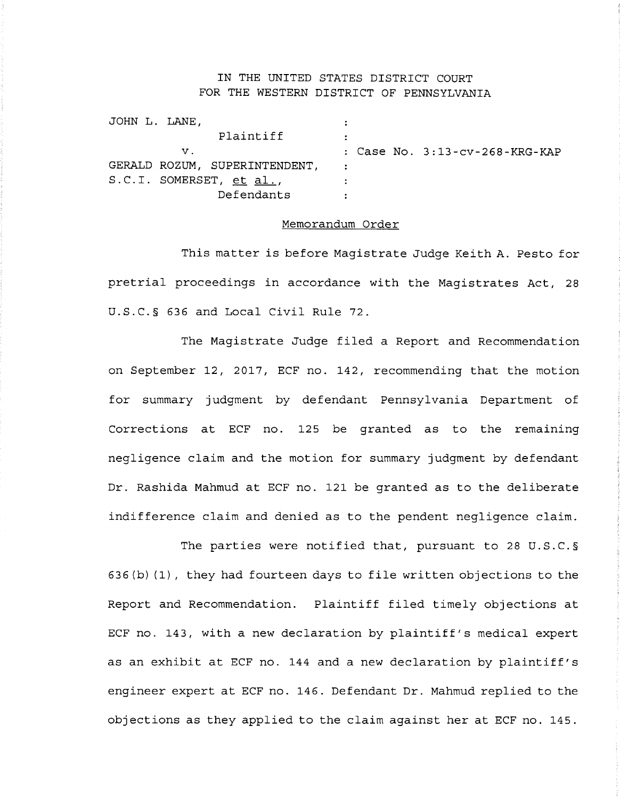## IN THE UNITED STATES DISTRICT COURT FOR THE WESTERN DISTRICT OF PENNSYLVANIA

| Plaintiff  |                                                                            |                                   |
|------------|----------------------------------------------------------------------------|-----------------------------------|
| v.         |                                                                            | : Case No. $3:13$ -cv-268-KRG-KAP |
|            |                                                                            |                                   |
|            |                                                                            |                                   |
| Defendants |                                                                            |                                   |
|            | JOHN L. LANE.<br>GERALD ROZUM, SUPERINTENDENT,<br>S.C.I. SOMERSET, et al., |                                   |

## Memorandum Order

This matter is before Magistrate Judge Keith A. Pesto for pretrial proceedings in accordance with the Magistrates Act, 28 U.S.C.§ 636 and Local Civil Rule 72.

The Magistrate Judge filed a Report and Recommendation on September 12, 2017, ECF no. 142, recommending that the motion for summary judgment by defendant Pennsylvania Department of Corrections at ECF no. 125 be granted as to the remaining negligence claim and the motion for summary judgment by defendant Dr. Rashida Mahmud at ECF no. 121 be granted as to the deliberate indifference claim and denied as to the pendent negligence claim.

The parties were notified that, pursuant to 28 U.S.C.§ 636(b) (1), they had fourteen days to file written objections to the Report and Recommendation. Plaintiff filed timely objections at ECF no. 143, with a new declaration by plaintiff's medical expert as an exhibit at ECF no. 144 and a new declaration by plaintiff's engineer expert at ECF no. 146. Defendant Dr. Mahmud replied to the objections as they applied to the claim against her at ECF no. 145.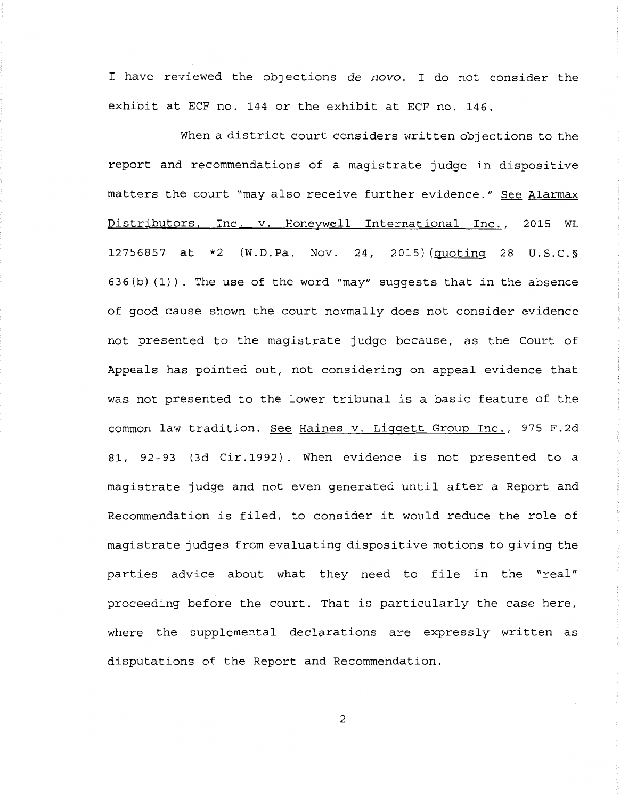I have reviewed the objections de novo. I do not consider the exhibit at ECF no. 144 or the exhibit at ECF no. 146.

When a district court considers written objections to the report and recommendations of a magistrate judge in dispositive matters the court "may also receive further evidence." See Alarmax Distributors, Inc. v. Honeywell International Inc., 2015 WL 12756857 at \*2 (W.D.Pa. Nov. 24, 2015) (quoting 28 U.S.C.§ 636(b) (1)). The use of the word "may" suggests that in the absence of good cause shown the court normally does not consider evidence not presented to the magistrate judge because, as the Court of Appeals has pointed out, not considering on appeal evidence that was not presented to the lower tribunal is a basic feature of the common law tradition. See Haines v. Liggett Group Inc., 975 F.2d 81, 92-93 ( 3d Cir. 1992) . When evidence is not presented to a magistrate judge and not even generated until after a Report and Recommendation is filed, to consider it would reduce the role of magistrate judges from evaluating dispositive motions to giving the parties advice about what they need to file in the "real" proceeding before the court. That is particularly the case here, where the supplemental declarations are expressly written as disputations of the Report and Recommendation.

2